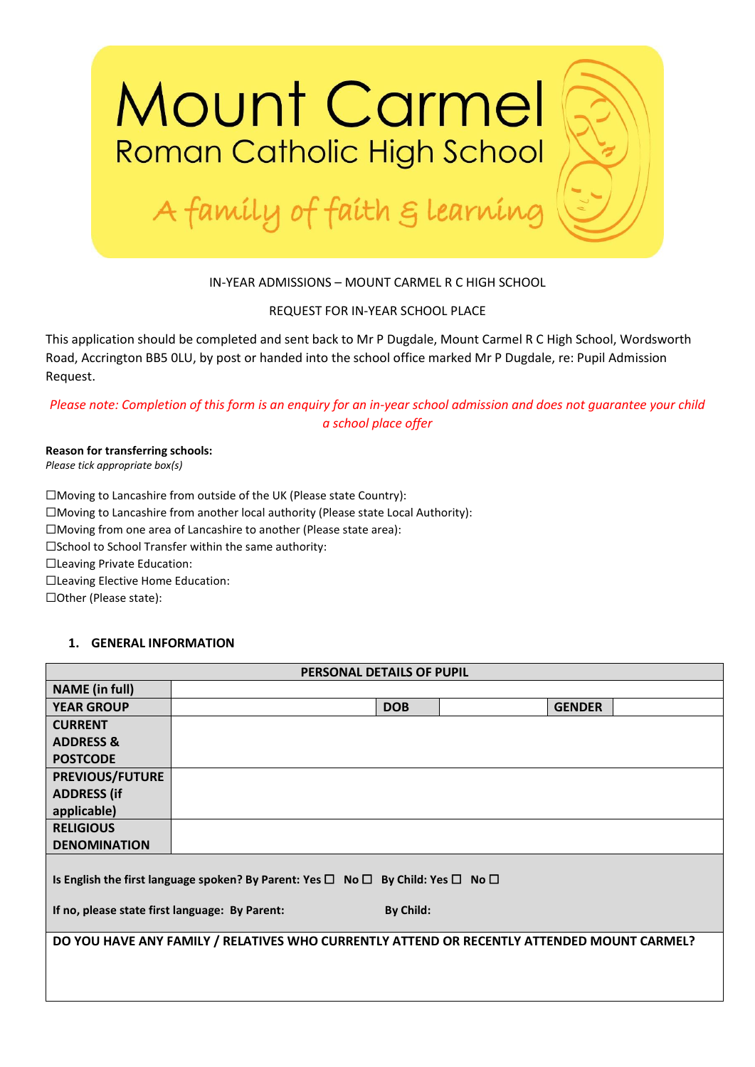

## IN-YEAR ADMISSIONS – MOUNT CARMEL R C HIGH SCHOOL

### REQUEST FOR IN-YEAR SCHOOL PLACE

This application should be completed and sent back to Mr P Dugdale, Mount Carmel R C High School, Wordsworth Road, Accrington BB5 0LU, by post or handed into the school office marked Mr P Dugdale, re: Pupil Admission Request.

## *Please note: Completion of this form is an enquiry for an in-year school admission and does not guarantee your child a school place offer*

#### **Reason for transferring schools:** *Please tick appropriate box(s)*

☐Moving to Lancashire from outside of the UK (Please state Country): ☐Moving to Lancashire from another local authority (Please state Local Authority): ☐Moving from one area of Lancashire to another (Please state area): ☐School to School Transfer within the same authority: ☐Leaving Private Education: ☐Leaving Elective Home Education: ☐Other (Please state):

## **1. GENERAL INFORMATION**

| <b>PERSONAL DETAILS OF PUPIL</b>                                                                                 |                                                                                            |            |  |               |  |
|------------------------------------------------------------------------------------------------------------------|--------------------------------------------------------------------------------------------|------------|--|---------------|--|
| <b>NAME</b> (in full)                                                                                            |                                                                                            |            |  |               |  |
| <b>YEAR GROUP</b>                                                                                                |                                                                                            | <b>DOB</b> |  | <b>GENDER</b> |  |
| <b>CURRENT</b>                                                                                                   |                                                                                            |            |  |               |  |
| <b>ADDRESS &amp;</b>                                                                                             |                                                                                            |            |  |               |  |
| <b>POSTCODE</b>                                                                                                  |                                                                                            |            |  |               |  |
| <b>PREVIOUS/FUTURE</b>                                                                                           |                                                                                            |            |  |               |  |
| <b>ADDRESS (if</b>                                                                                               |                                                                                            |            |  |               |  |
| applicable)                                                                                                      |                                                                                            |            |  |               |  |
| <b>RELIGIOUS</b>                                                                                                 |                                                                                            |            |  |               |  |
| <b>DENOMINATION</b>                                                                                              |                                                                                            |            |  |               |  |
| Is English the first language spoken? By Parent: Yes $\square$ No $\square$ By Child: Yes $\square$ No $\square$ |                                                                                            |            |  |               |  |
| If no, please state first language: By Parent:                                                                   |                                                                                            | By Child:  |  |               |  |
|                                                                                                                  | DO YOU HAVE ANY FAMILY / RELATIVES WHO CURRENTLY ATTEND OR RECENTLY ATTENDED MOUNT CARMEL? |            |  |               |  |
|                                                                                                                  |                                                                                            |            |  |               |  |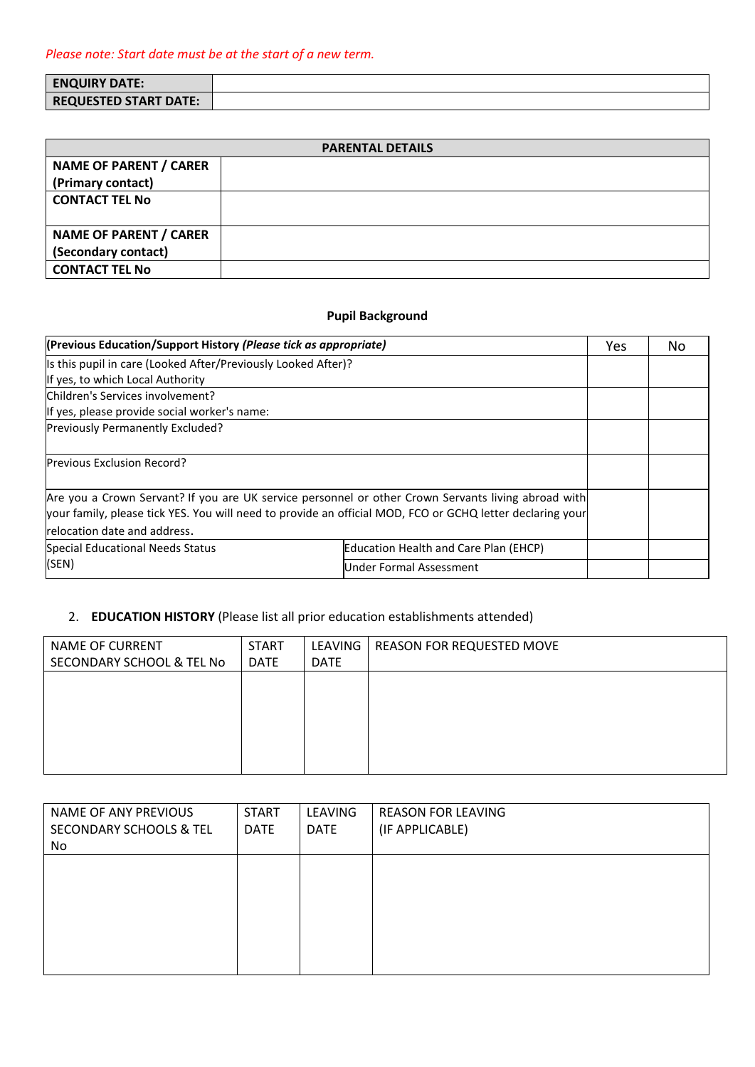| <b>ENQUIRY DATE:</b>         |  |
|------------------------------|--|
| <b>REQUESTED START DATE:</b> |  |

| <b>PARENTAL DETAILS</b>       |  |  |  |
|-------------------------------|--|--|--|
| <b>NAME OF PARENT / CARER</b> |  |  |  |
| (Primary contact)             |  |  |  |
| <b>CONTACT TEL No</b>         |  |  |  |
|                               |  |  |  |
| <b>NAME OF PARENT / CARER</b> |  |  |  |
| (Secondary contact)           |  |  |  |
| <b>CONTACT TEL No</b>         |  |  |  |

# **Pupil Background**

| (Previous Education/Support History (Please tick as appropriate)                                                                                                                                                 |                                              |  | No. |
|------------------------------------------------------------------------------------------------------------------------------------------------------------------------------------------------------------------|----------------------------------------------|--|-----|
| Is this pupil in care (Looked After/Previously Looked After)?                                                                                                                                                    |                                              |  |     |
| If yes, to which Local Authority                                                                                                                                                                                 |                                              |  |     |
| Children's Services involvement?                                                                                                                                                                                 |                                              |  |     |
| If yes, please provide social worker's name:                                                                                                                                                                     |                                              |  |     |
| Previously Permanently Excluded?                                                                                                                                                                                 |                                              |  |     |
| <b>Previous Exclusion Record?</b>                                                                                                                                                                                |                                              |  |     |
| Are you a Crown Servant? If you are UK service personnel or other Crown Servants living abroad with<br>your family, please tick YES. You will need to provide an official MOD, FCO or GCHQ letter declaring your |                                              |  |     |
| relocation date and address.                                                                                                                                                                                     |                                              |  |     |
| Special Educational Needs Status                                                                                                                                                                                 | <b>Education Health and Care Plan (EHCP)</b> |  |     |
| (SEN)                                                                                                                                                                                                            | Under Formal Assessment                      |  |     |

# 2. **EDUCATION HISTORY** (Please list all prior education establishments attended)

| NAME OF CURRENT           | <b>START</b> | LEAVING     | REASON FOR REQUESTED MOVE |
|---------------------------|--------------|-------------|---------------------------|
| SECONDARY SCHOOL & TEL No | <b>DATE</b>  | <b>DATE</b> |                           |
|                           |              |             |                           |
|                           |              |             |                           |
|                           |              |             |                           |
|                           |              |             |                           |
|                           |              |             |                           |
|                           |              |             |                           |

| NAME OF ANY PREVIOUS               | <b>START</b> | LEAVING     | <b>REASON FOR LEAVING</b> |
|------------------------------------|--------------|-------------|---------------------------|
| <b>SECONDARY SCHOOLS &amp; TEL</b> | <b>DATE</b>  | <b>DATE</b> | (IF APPLICABLE)           |
| No                                 |              |             |                           |
|                                    |              |             |                           |
|                                    |              |             |                           |
|                                    |              |             |                           |
|                                    |              |             |                           |
|                                    |              |             |                           |
|                                    |              |             |                           |
|                                    |              |             |                           |